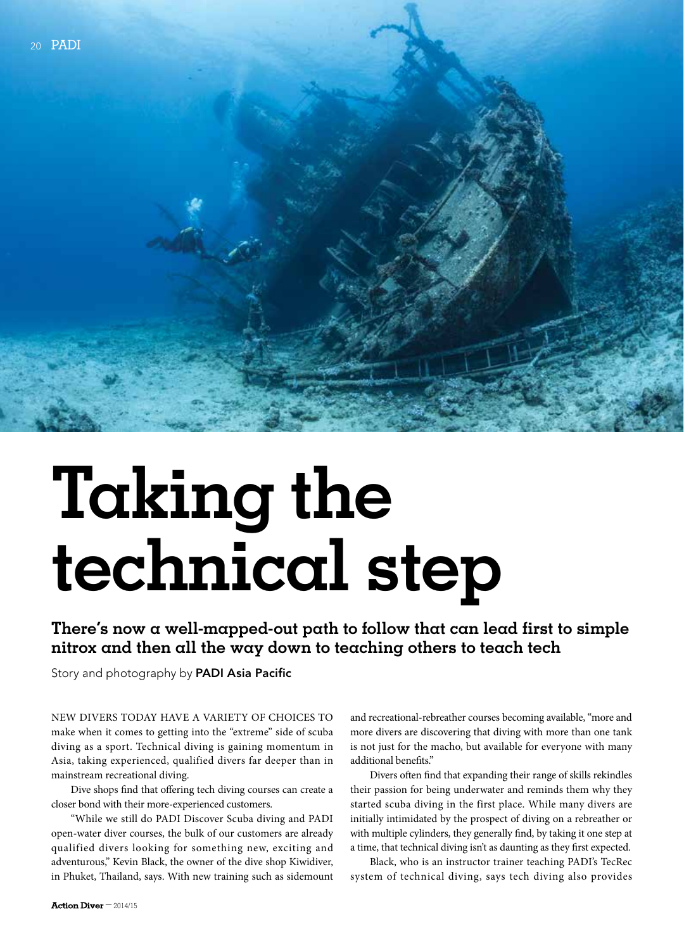# **Taking the technical step**

**There's now a well-mapped-out path to follow that can lead first to simple nitrox and then all the way down to teaching others to teach tech**

Story and photography by **PADI Asia Pacific** 

New divers today have a variety of choices to make when it comes to getting into the "extreme" side of scuba diving as a sport. Technical diving is gaining momentum in Asia, taking experienced, qualified divers far deeper than in mainstream recreational diving.

Dive shops find that offering tech diving courses can create a closer bond with their more-experienced customers.

"While we still do PADI Discover Scuba diving and PADI open-water diver courses, the bulk of our customers are already qualified divers looking for something new, exciting and adventurous," Kevin Black, the owner of the dive shop Kiwidiver, in Phuket, Thailand, says. With new training such as sidemount

and recreational-rebreather courses becoming available, "more and more divers are discovering that diving with more than one tank is not just for the macho, but available for everyone with many additional benefits."

Divers often find that expanding their range of skills rekindles their passion for being underwater and reminds them why they started scuba diving in the first place. While many divers are initially intimidated by the prospect of diving on a rebreather or with multiple cylinders, they generally find, by taking it one step at a time, that technical diving isn't as daunting as they first expected.

Black, who is an instructor trainer teaching PADI's TecRec system of technical diving, says tech diving also provides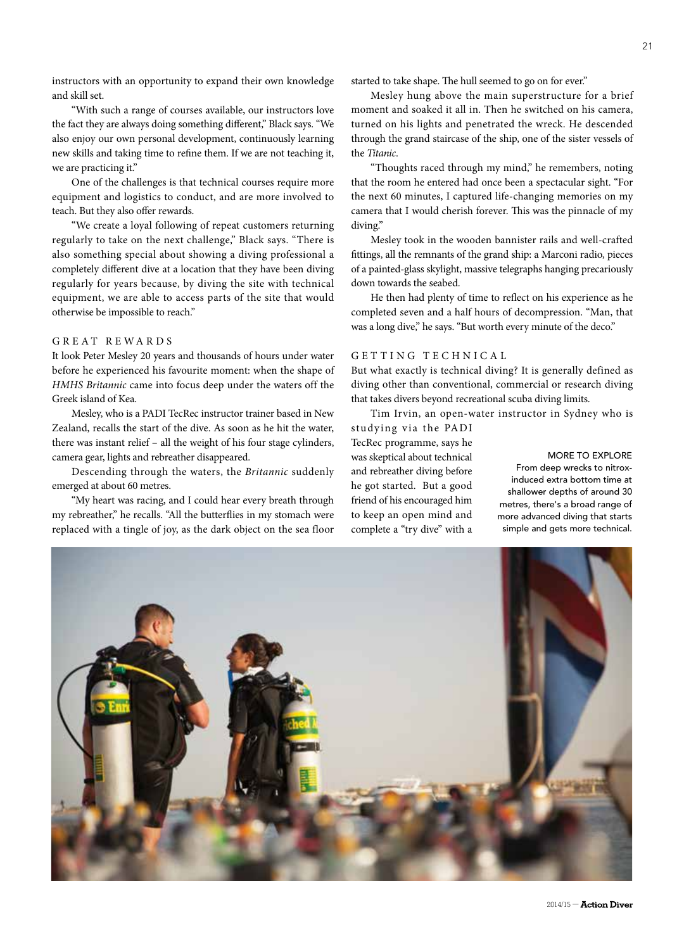instructors with an opportunity to expand their own knowledge and skill set.

"With such a range of courses available, our instructors love the fact they are always doing something different," Black says. "We also enjoy our own personal development, continuously learning new skills and taking time to refine them. If we are not teaching it, we are practicing it."

One of the challenges is that technical courses require more equipment and logistics to conduct, and are more involved to teach. But they also offer rewards.

"We create a loyal following of repeat customers returning regularly to take on the next challenge," Black says. "There is also something special about showing a diving professional a completely different dive at a location that they have been diving regularly for years because, by diving the site with technical equipment, we are able to access parts of the site that would otherwise be impossible to reach."

# GREAT REWARDS

It look Peter Mesley 20 years and thousands of hours under water before he experienced his favourite moment: when the shape of *HMHS Britannic* came into focus deep under the waters off the Greek island of Kea.

Mesley, who is a PADI TecRec instructor trainer based in New Zealand, recalls the start of the dive. As soon as he hit the water, there was instant relief – all the weight of his four stage cylinders, camera gear, lights and rebreather disappeared.

Descending through the waters, the *Britannic* suddenly emerged at about 60 metres.

"My heart was racing, and I could hear every breath through my rebreather," he recalls. "All the butterflies in my stomach were replaced with a tingle of joy, as the dark object on the sea floor

started to take shape. The hull seemed to go on for ever."

Mesley hung above the main superstructure for a brief moment and soaked it all in. Then he switched on his camera, turned on his lights and penetrated the wreck. He descended through the grand staircase of the ship, one of the sister vessels of the *Titanic*.

"Thoughts raced through my mind," he remembers, noting that the room he entered had once been a spectacular sight. "For the next 60 minutes, I captured life-changing memories on my camera that I would cherish forever. This was the pinnacle of my diving."

Mesley took in the wooden bannister rails and well-crafted fittings, all the remnants of the grand ship: a Marconi radio, pieces of a painted-glass skylight, massive telegraphs hanging precariously down towards the seabed.

He then had plenty of time to reflect on his experience as he completed seven and a half hours of decompression. "Man, that was a long dive," he says. "But worth every minute of the deco."

# GETTING TECHNICAL

But what exactly is technical diving? It is generally defined as diving other than conventional, commercial or research diving that takes divers beyond recreational scuba diving limits.

Tim Irvin, an open-water instructor in Sydney who is studying via the PADI

TecRec programme, says he was skeptical about technical and rebreather diving before he got started. But a good friend of his encouraged him to keep an open mind and complete a "try dive" with a

### more to explore

From deep wrecks to nitroxinduced extra bottom time at shallower depths of around 30 metres, there's a broad range of more advanced diving that starts simple and gets more technical.

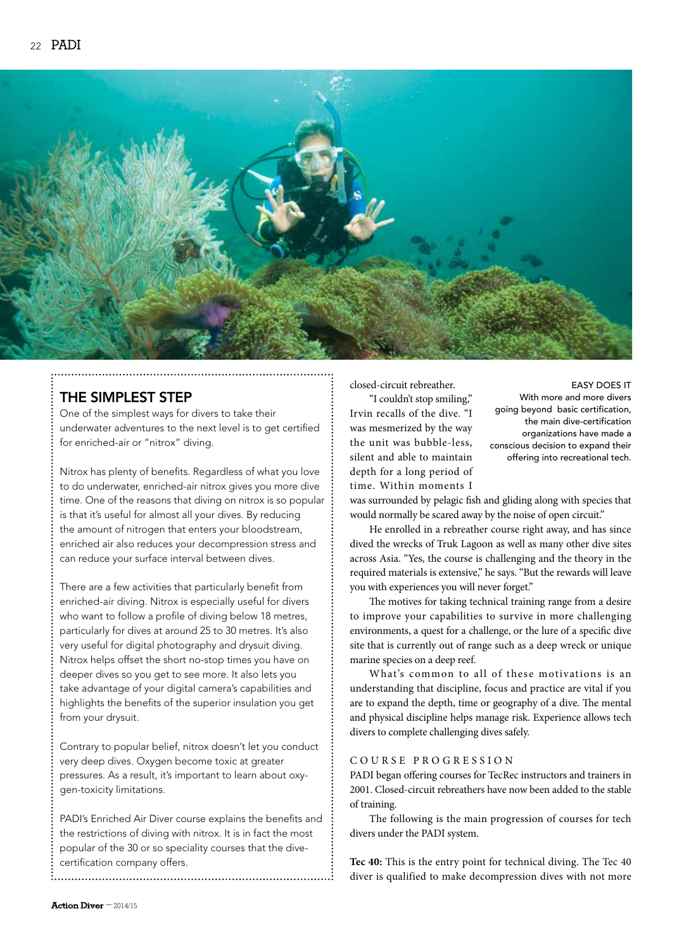

# The Simplest Step

One of the simplest ways for divers to take their underwater adventures to the next level is to get certified for enriched-air or "nitrox" diving.

Nitrox has plenty of benefits. Regardless of what you love to do underwater, enriched-air nitrox gives you more dive time. One of the reasons that diving on nitrox is so popular is that it's useful for almost all your dives. By reducing the amount of nitrogen that enters your bloodstream, enriched air also reduces your decompression stress and can reduce your surface interval between dives.

There are a few activities that particularly benefit from enriched-air diving. Nitrox is especially useful for divers who want to follow a profile of diving below 18 metres, particularly for dives at around 25 to 30 metres. It's also very useful for digital photography and drysuit diving. Nitrox helps offset the short no-stop times you have on deeper dives so you get to see more. It also lets you take advantage of your digital camera's capabilities and highlights the benefits of the superior insulation you get from your drysuit.

Contrary to popular belief, nitrox doesn't let you conduct very deep dives. Oxygen become toxic at greater pressures. As a result, it's important to learn about oxygen-toxicity limitations.

PADI's Enriched Air Diver course explains the benefits and the restrictions of diving with nitrox. It is in fact the most popular of the 30 or so speciality courses that the divecertification company offers.

closed-circuit rebreather.

"I couldn't stop smiling," Irvin recalls of the dive. "I was mesmerized by the way the unit was bubble-less, silent and able to maintain depth for a long period of time. Within moments I

## easy does it

With more and more divers going beyond basic certification, the main dive-certification organizations have made a conscious decision to expand their offering into recreational tech.

was surrounded by pelagic fish and gliding along with species that would normally be scared away by the noise of open circuit."

He enrolled in a rebreather course right away, and has since dived the wrecks of Truk Lagoon as well as many other dive sites across Asia. "Yes, the course is challenging and the theory in the required materials is extensive," he says. "But the rewards will leave you with experiences you will never forget."

The motives for taking technical training range from a desire to improve your capabilities to survive in more challenging environments, a quest for a challenge, or the lure of a specific dive site that is currently out of range such as a deep wreck or unique marine species on a deep reef.

What's common to all of these motivations is an understanding that discipline, focus and practice are vital if you are to expand the depth, time or geography of a dive. The mental and physical discipline helps manage risk. Experience allows tech divers to complete challenging dives safely.

# C ourse Pro g ressio n

PADI began offering courses for TecRec instructors and trainers in 2001. Closed-circuit rebreathers have now been added to the stable of training.

The following is the main progression of courses for tech divers under the PADI system.

**Tec 40:** This is the entry point for technical diving. The Tec 40 diver is qualified to make decompression dives with not more